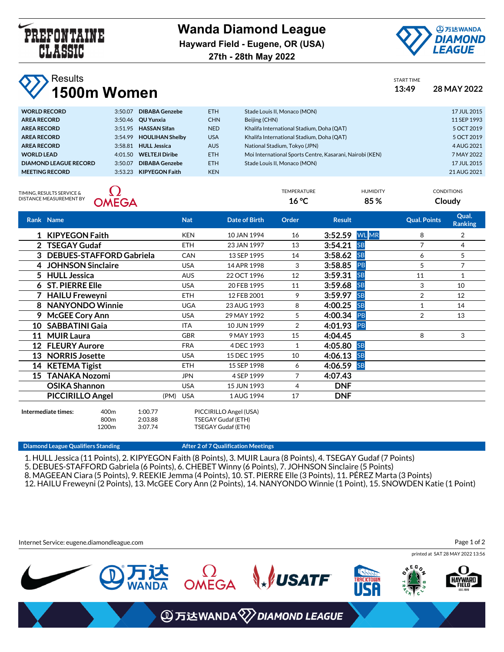

**Wanda Diamond League Hayward Field - Eugene, OR (USA)**



**27th - 28th May 2022**

## Results

| 28 MAY 2022 |
|-------------|
|             |

| <b>WORLD RECORD</b>          | 3:50.07 | <b>DIBABA Genzebe</b>    | ETH.       | Stade Louis II, Monaco (MON)                             | 17 JUL 2015 |
|------------------------------|---------|--------------------------|------------|----------------------------------------------------------|-------------|
| <b>AREA RECORD</b>           |         | 3:50.46 <b>OU Yunxia</b> | <b>CHN</b> | Beijing (CHN)                                            | 11 SEP 1993 |
| <b>AREA RECORD</b>           |         | 3:51.95 HASSAN Sifan     | <b>NED</b> | Khalifa International Stadium, Doha (QAT)                | 5 OCT 2019  |
| <b>AREA RECORD</b>           |         | 3:54.99 HOULIHAN Shelby  | <b>USA</b> | Khalifa International Stadium, Doha (QAT)                | 5 OCT 2019  |
| <b>AREA RECORD</b>           | 3:58.81 | <b>HULL Jessica</b>      | <b>AUS</b> | National Stadium, Tokyo (JPN)                            | 4 AUG 2021  |
| <b>WORLD LEAD</b>            |         | 4:01.50 WELTEJI Diribe   | ETH.       | Moi International Sports Centre, Kasarani, Nairobi (KEN) | 7 MAY 2022  |
| <b>DIAMOND LEAGUE RECORD</b> | 3:50.07 | <b>DIBABA Genzebe</b>    | ETH.       | Stade Louis II. Monaco (MON)                             | 17 JUL 2015 |
| <b>MEETING RECORD</b>        |         | 3:53.23 KIPYEGON Faith   | <b>KEN</b> |                                                          | 21 AUG 2021 |
|                              |         |                          |            |                                                          |             |

TIMING, RESULTS SERVICE & DISTANCE MEASUREMENT BY



| 16 °C       | 85%             | Cloudy            |
|-------------|-----------------|-------------------|
| TEMPERATURE | <b>HUMIDITY</b> | <b>CONDITIONS</b> |
|             |                 | 21 AUG 202        |

|                 | Rank Name                       |                                      |                    | <b>Nat</b>         | Date of Birth                                | Order          | <b>Result</b> |              | <b>Qual. Points</b> | Qual.<br><b>Ranking</b> |
|-----------------|---------------------------------|--------------------------------------|--------------------|--------------------|----------------------------------------------|----------------|---------------|--------------|---------------------|-------------------------|
|                 | 1 KIPYEGON Faith                |                                      |                    | <b>KEN</b>         | 10 JAN 1994                                  | 16             | 3:52.59       | <b>WL</b> MR | 8                   | 2                       |
|                 | <b>TSEGAY Gudaf</b>             |                                      |                    | <b>ETH</b>         | 23 JAN 1997                                  | 13             | 3:54.21       | <b>SB</b>    | 7                   | 4                       |
| 3               | <b>DEBUES-STAFFORD Gabriela</b> |                                      |                    | <b>CAN</b>         | 13 SEP 1995                                  | 14             | 3:58.62       | <b>SB</b>    | 6                   | 5                       |
| 4               | <b>JOHNSON Sinclaire</b>        |                                      |                    | <b>USA</b>         | 14 APR 1998                                  | 3              | 3:58.85       | PB           | 5                   | 7                       |
| 5.              | <b>HULL Jessica</b>             |                                      |                    | <b>AUS</b>         | 22 OCT 1996                                  | 12             | 3:59.31       | <b>SB</b>    | 11                  | $\mathbf{1}$            |
| 6               | <b>ST. PIERRE Elle</b>          |                                      |                    | <b>USA</b>         | 20 FEB 1995                                  | 11             | 3:59.68       | <b>SB</b>    | 3                   | 10                      |
|                 | <b>HAILU Freweyni</b>           |                                      |                    | <b>ETH</b>         | 12 FEB 2001                                  | 9              | 3:59.97       | <b>SB</b>    | 2                   | 12                      |
|                 | <b>NANYONDO Winnie</b>          |                                      |                    | <b>UGA</b>         | 23 AUG 1993                                  | 8              | 4:00.25       | <b>SB</b>    | $\mathbf{1}$        | 14                      |
| 9.              | <b>McGEE Cory Ann</b>           |                                      |                    | <b>USA</b>         | 29 MAY 1992                                  | 5              | 4:00.34       | PB           | 2                   | 13                      |
| 10              | <b>SABBATINI Gaia</b>           |                                      |                    | <b>ITA</b>         | 10 JUN 1999                                  | $\overline{2}$ | 4:01.93       | PB           |                     |                         |
| 11              | <b>MUIR Laura</b>               |                                      |                    | <b>GBR</b>         | 9 MAY 1993                                   | 15             | 4:04.45       |              | 8                   | 3                       |
| 12 <sup>°</sup> | <b>FLEURY Aurore</b>            |                                      |                    | <b>FRA</b>         | 4 DEC 1993                                   | $\mathbf{1}$   | 4:05.80       | <b>SB</b>    |                     |                         |
| 13              | <b>NORRIS Josette</b>           |                                      |                    | <b>USA</b>         | 15 DEC 1995                                  | 10             | 4:06.13       | <b>SB</b>    |                     |                         |
|                 | 14 KETEMA Tigist                |                                      |                    | <b>ETH</b>         | 15 SEP 1998                                  | 6              | 4:06.59       | <b>SB</b>    |                     |                         |
| 15              | <b>TANAKA Nozomi</b>            |                                      |                    | <b>JPN</b>         | 4 SEP 1999                                   | 7              | 4:07.43       |              |                     |                         |
|                 | <b>OSIKA Shannon</b>            |                                      |                    | <b>USA</b>         | 15 JUN 1993                                  | 4              | <b>DNF</b>    |              |                     |                         |
|                 | <b>PICCIRILLO Angel</b>         |                                      |                    | (PM)<br><b>USA</b> | 1 AUG 1994                                   | 17             | <b>DNF</b>    |              |                     |                         |
|                 | Intermediate times:             | 400 <sub>m</sub><br>800 <sub>m</sub> | 1:00.77<br>2:03.88 |                    | PICCIRILLO Angel (USA)<br>TSEGAY Gudaf (ETH) |                |               |              |                     |                         |

**Diamond League Qualifiers Standing The Contract League After 2 of 7 Qualification Meetings** 

1200m 3:07.74 TSEGAY Gudaf (ETH)

1. HULL Jessica (11 Points), 2. KIPYEGON Faith (8 Points), 3. MUIR Laura (8 Points), 4. TSEGAY Gudaf (7 Points) 5. DEBUES-STAFFORD Gabriela (6 Points), 6. CHEBET Winny (6 Points), 7. JOHNSON Sinclaire (5 Points) 8. MAGEEAN Ciara (5 Points), 9. REEKIE Jemma (4 Points), 10. ST. PIERRE Elle (3 Points), 11. PÉREZ Marta (3 Points) 12. HAILU Freweyni (2 Points), 13. McGEE Cory Ann (2 Points), 14. NANYONDO Winnie (1 Point), 15. SNOWDEN Katie (1 Point)

Internet Service: eugene.diamondleague.com

Page 1 of 2